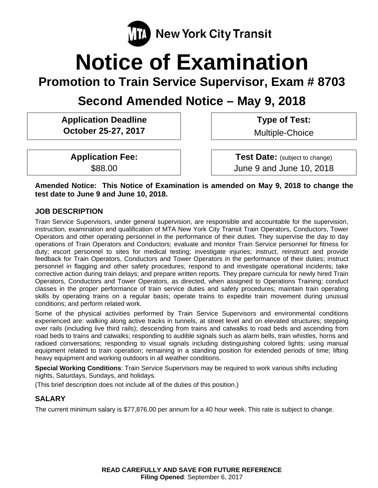

# **Notice of Examination**

**Promotion to Train Service Supervisor, Exam # 8703** 

**Second Amended Notice – May 9, 2018** 

**Application Deadline October 25-27, 2017** 

 **Type of Test:** 

Multiple-Choice

**Application Fee:**  \$88.00

 **Test Date:** (subject to change) June 9 and June 10, 2018

**Amended Notice: This Notice of Examination is amended on May 9, 2018 to change the test date to June 9 and June 10, 2018.** 

## **JOB DESCRIPTION**

Train Service Supervisors, under general supervision, are responsible and accountable for the supervision, instruction, examination and qualification of MTA New York City Transit Train Operators, Conductors, Tower Operators and other operating personnel in the performance of their duties. They supervise the day to day operations of Train Operators and Conductors; evaluate and monitor Train Service personnel for fitness for duty; escort personnel to sites for medical testing; investigate injuries; instruct, reinstruct and provide feedback for Train Operators, Conductors and Tower Operators in the performance of their duties; instruct personnel in flagging and other safety procedures; respond to and investigate operational incidents; take corrective action during train delays; and prepare written reports. They prepare curricula for newly hired Train Operators, Conductors and Tower Operators, as directed, when assigned to Operations Training; conduct classes in the proper performance of train service duties and safety procedures; maintain train operating skills by operating trains on a regular basis; operate trains to expedite train movement during unusual conditions; and perform related work.

Some of the physical activities performed by Train Service Supervisors and environmental conditions experienced are: walking along active tracks in tunnels, at street level and on elevated structures; stepping over rails (including live third rails); descending from trains and catwalks to road beds and ascending from road beds to trains and catwalks; responding to audible signals such as alarm bells, train whistles, horns and radioed conversations; responding to visual signals including distinguishing colored lights; using manual equipment related to train operation; remaining in a standing position for extended periods of time; lifting heavy equipment and working outdoors in all weather conditions.

**Special Working Conditions**: Train Service Supervisors may be required to work various shifts including nights, Saturdays, Sundays, and holidays.

(This brief description does not include all of the duties of this position.)

# **SALARY**

The current minimum salary is \$77,876.00 per annum for a 40 hour week. This rate is subject to change.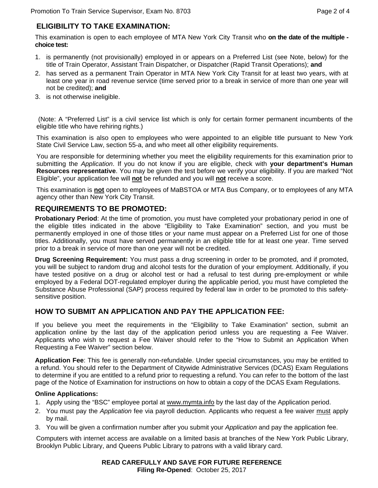## **ELIGIBILITY TO TAKE EXAMINATION:**

This examination is open to each employee of MTA New York City Transit who **on the date of the multiple choice test:** 

- 1. is permanently (not provisionally) employed in or appears on a Preferred List (see Note, below) for the title of Train Operator, Assistant Train Dispatcher, or Dispatcher (Rapid Transit Operations); **and**
- 2. has served as a permanent Train Operator in MTA New York City Transit for at least two years, with at least one year in road revenue service (time served prior to a break in service of more than one year will not be credited); **and**
- 3. is not otherwise ineligible.

 (Note: A "Preferred List" is a civil service list which is only for certain former permanent incumbents of the eligible title who have rehiring rights.)

This examination is also open to employees who were appointed to an eligible title pursuant to New York State Civil Service Law, section 55-a, and who meet all other eligibility requirements.

You are responsible for determining whether you meet the eligibility requirements for this examination prior to submitting the *Application*. If you do not know if you are eligible, check with **your department's Human Resources representative**. You may be given the test before we verify your eligibility. If you are marked "Not Eligible", your application fee will **not** be refunded and you will **not** receive a score.

This examination is **not** open to employees of MaBSTOA or MTA Bus Company, or to employees of any MTA agency other than New York City Transit.

## **REQUIREMENTS TO BE PROMOTED:**

**Probationary Period**: At the time of promotion, you must have completed your probationary period in one of the eligible titles indicated in the above "Eligibility to Take Examination" section, and you must be permanently employed in one of those titles or your name must appear on a Preferred List for one of those titles. Additionally, you must have served permanently in an eligible title for at least one year. Time served prior to a break in service of more than one year will not be credited.

**Drug Screening Requirement:** You must pass a drug screening in order to be promoted, and if promoted, you will be subject to random drug and alcohol tests for the duration of your employment. Additionally, if you have tested positive on a drug or alcohol test or had a refusal to test during pre-employment or while employed by a Federal DOT-regulated employer during the applicable period, you must have completed the Substance Abuse Professional (SAP) process required by federal law in order to be promoted to this safetysensitive position.

## **HOW TO SUBMIT AN APPLICATION AND PAY THE APPLICATION FEE:**

If you believe you meet the requirements in the "Eligibility to Take Examination" section, submit an application online by the last day of the application period unless you are requesting a Fee Waiver. Applicants who wish to request a Fee Waiver should refer to the "How to Submit an Application When Requesting a Fee Waiver" section below.

**Application Fee**: This fee is generally non-refundable. Under special circumstances, you may be entitled to a refund. You should refer to the Department of Citywide Administrative Services (DCAS) Exam Regulations to determine if you are entitled to a refund prior to requesting a refund. You can refer to the bottom of the last page of the Notice of Examination for instructions on how to obtain a copy of the DCAS Exam Regulations.

#### **Online Applications:**

- 1. Apply using the "BSC" employee portal at www.mymta.info by the last day of the Application period.
- 2. You must pay the *Application* fee via payroll deduction. Applicants who request a fee waiver must apply by mail.
- 3. You will be given a confirmation number after you submit your *Application* and pay the application fee.

Computers with internet access are available on a limited basis at branches of the New York Public Library, Brooklyn Public Library, and Queens Public Library to patrons with a valid library card.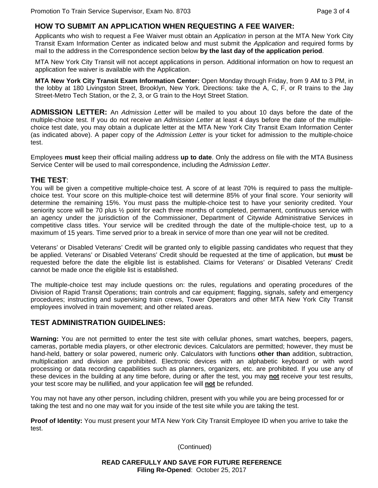#### **HOW TO SUBMIT AN APPLICATION WHEN REQUESTING A FEE WAIVER:**

Applicants who wish to request a Fee Waiver must obtain an *Application* in person at the MTA New York City Transit Exam Information Center as indicated below and must submit the *Application* and required forms by mail to the address in the Correspondence section below **by the last day of the application period**.

MTA New York City Transit will not accept applications in person. Additional information on how to request an application fee waiver is available with the Application.

**MTA New York City Transit Exam Information Center:** Open Monday through Friday, from 9 AM to 3 PM, in the lobby at 180 Livingston Street, Brooklyn, New York. Directions: take the A, C, F, or R trains to the Jay Street-Metro Tech Station, or the 2, 3, or G train to the Hoyt Street Station.

**ADMISSION LETTER:** An *Admission Letter* will be mailed to you about 10 days before the date of the multiple-choice test. If you do not receive an *Admission Letter* at least 4 days before the date of the multiplechoice test date, you may obtain a duplicate letter at the MTA New York City Transit Exam Information Center (as indicated above). A paper copy of the *Admission Letter* is your ticket for admission to the multiple-choice test.

Employees **must** keep their official mailing address **up to date**. Only the address on file with the MTA Business Service Center will be used to mail correspondence, including the *Admission Letter*.

#### **THE TEST**:

You will be given a competitive multiple-choice test. A score of at least 70% is required to pass the multiplechoice test. Your score on this multiple-choice test will determine 85% of your final score. Your seniority will determine the remaining 15%. You must pass the multiple-choice test to have your seniority credited. Your seniority score will be 70 plus 1/2 point for each three months of completed, permanent, continuous service with an agency under the jurisdiction of the Commissioner, Department of Citywide Administrative Services in competitive class titles. Your service will be credited through the date of the multiple-choice test, up to a maximum of 15 years. Time served prior to a break in service of more than one year will not be credited.

Veterans' or Disabled Veterans' Credit will be granted only to eligible passing candidates who request that they be applied. Veterans' or Disabled Veterans' Credit should be requested at the time of application, but **must** be requested before the date the eligible list is established. Claims for Veterans' or Disabled Veterans' Credit cannot be made once the eligible list is established.

The multiple-choice test may include questions on: the rules, regulations and operating procedures of the Division of Rapid Transit Operations; train controls and car equipment; flagging, signals, safety and emergency procedures; instructing and supervising train crews, Tower Operators and other MTA New York City Transit employees involved in train movement; and other related areas.

#### **TEST ADMINISTRATION GUIDELINES:**

**Warning:** You are not permitted to enter the test site with cellular phones, smart watches, beepers, pagers, cameras, portable media players, or other electronic devices. Calculators are permitted; however, they must be hand-held, battery or solar powered, numeric only. Calculators with functions **other than** addition, subtraction, multiplication and division are prohibited. Electronic devices with an alphabetic keyboard or with word processing or data recording capabilities such as planners, organizers, etc. are prohibited. If you use any of these devices in the building at any time before, during or after the test, you may **not** receive your test results, your test score may be nullified, and your application fee will **not** be refunded.

You may not have any other person, including children, present with you while you are being processed for or taking the test and no one may wait for you inside of the test site while you are taking the test.

**Proof of Identity:** You must present your MTA New York City Transit Employee ID when you arrive to take the test.

(Continued)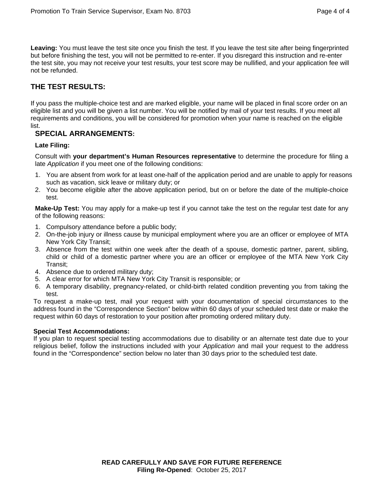**Leaving:** You must leave the test site once you finish the test. If you leave the test site after being fingerprinted but before finishing the test, you will not be permitted to re-enter. If you disregard this instruction and re-enter the test site, you may not receive your test results, your test score may be nullified, and your application fee will not be refunded.

## **THE TEST RESULTS:**

If you pass the multiple-choice test and are marked eligible, your name will be placed in final score order on an eligible list and you will be given a list number. You will be notified by mail of your test results. If you meet all requirements and conditions, you will be considered for promotion when your name is reached on the eligible list.

## **SPECIAL ARRANGEMENTS:**

#### **Late Filing:**

Consult with **your department's Human Resources representative** to determine the procedure for filing a late *Application* if you meet one of the following conditions:

- 1. You are absent from work for at least one-half of the application period and are unable to apply for reasons such as vacation, sick leave or military duty; or
- 2. You become eligible after the above application period, but on or before the date of the multiple-choice test.

**Make-Up Test:** You may apply for a make-up test if you cannot take the test on the regular test date for any of the following reasons:

- 1. Compulsory attendance before a public body;
- 2. On-the-job injury or illness cause by municipal employment where you are an officer or employee of MTA New York City Transit;
- 3. Absence from the test within one week after the death of a spouse, domestic partner, parent, sibling, child or child of a domestic partner where you are an officer or employee of the MTA New York City Transit;
- 4. Absence due to ordered military duty;
- 5. A clear error for which MTA New York City Transit is responsible; or
- 6. A temporary disability, pregnancy-related, or child-birth related condition preventing you from taking the test.

To request a make-up test, mail your request with your documentation of special circumstances to the address found in the "Correspondence Section" below within 60 days of your scheduled test date or make the request within 60 days of restoration to your position after promoting ordered military duty.

#### **Special Test Accommodations:**

If you plan to request special testing accommodations due to disability or an alternate test date due to your religious belief, follow the instructions included with your *Application* and mail your request to the address found in the "Correspondence" section below no later than 30 days prior to the scheduled test date.